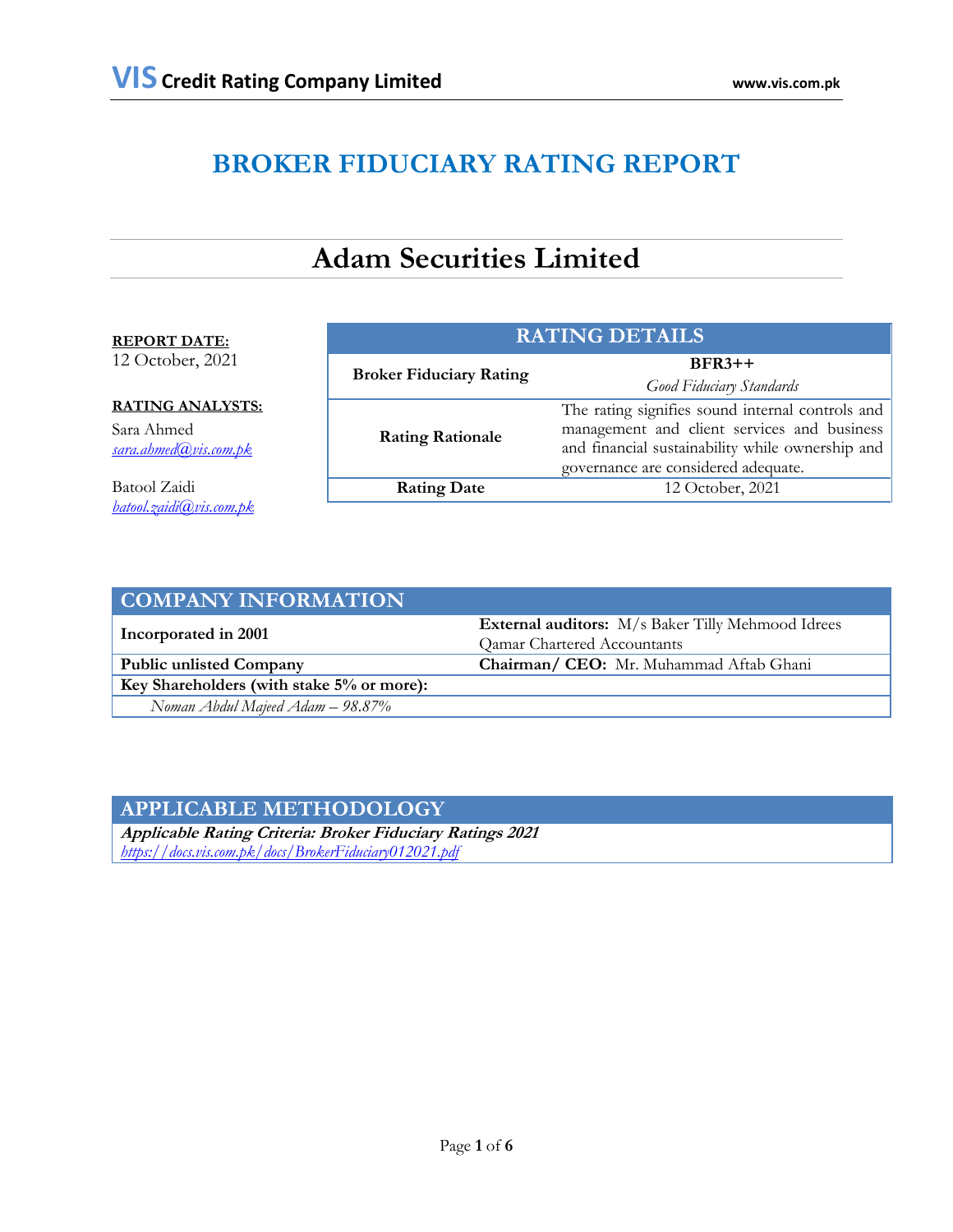# **BROKER FIDUCIARY RATING REPORT**

# **Adam Securities Limited**

#### **REPORT DATE:**

12 October, 2021

# **RATING ANALYSTS:**

Sara Ahmed *[sara.ahmed@vis.com.pk](mailto:sara.ahmed@vis.com.pk)*

Batool Zaidi *[batool.zaidi@vis.com.pk](mailto:batool.zaidi@vis.com.pk)*

| <b>RATING DETAILS</b>          |                                                                                                                                                                                            |  |  |  |
|--------------------------------|--------------------------------------------------------------------------------------------------------------------------------------------------------------------------------------------|--|--|--|
| <b>Broker Fiduciary Rating</b> | $BFR3++$<br>Good Fiduciary Standards                                                                                                                                                       |  |  |  |
| <b>Rating Rationale</b>        | The rating signifies sound internal controls and<br>management and client services and business<br>and financial sustainability while ownership and<br>governance are considered adequate. |  |  |  |
| <b>Rating Date</b>             | 12 October, 2021                                                                                                                                                                           |  |  |  |
|                                |                                                                                                                                                                                            |  |  |  |

| <b>COMPANY INFORMATION</b>                |                                                          |  |  |
|-------------------------------------------|----------------------------------------------------------|--|--|
|                                           | <b>External auditors:</b> M/s Baker Tilly Mehmood Idrees |  |  |
| Incorporated in 2001                      | Qamar Chartered Accountants                              |  |  |
| <b>Public unlisted Company</b>            | Chairman/ CEO: Mr. Muhammad Aftab Ghani                  |  |  |
| Key Shareholders (with stake 5% or more): |                                                          |  |  |
| Noman Abdul Majeed Adam $- 98.87\%$       |                                                          |  |  |

# **APPLICABLE METHODOLOGY**

**Applicable Rating Criteria: Broker Fiduciary Ratings 2021** *<https://docs.vis.com.pk/docs/BrokerFiduciary012021.pdf>*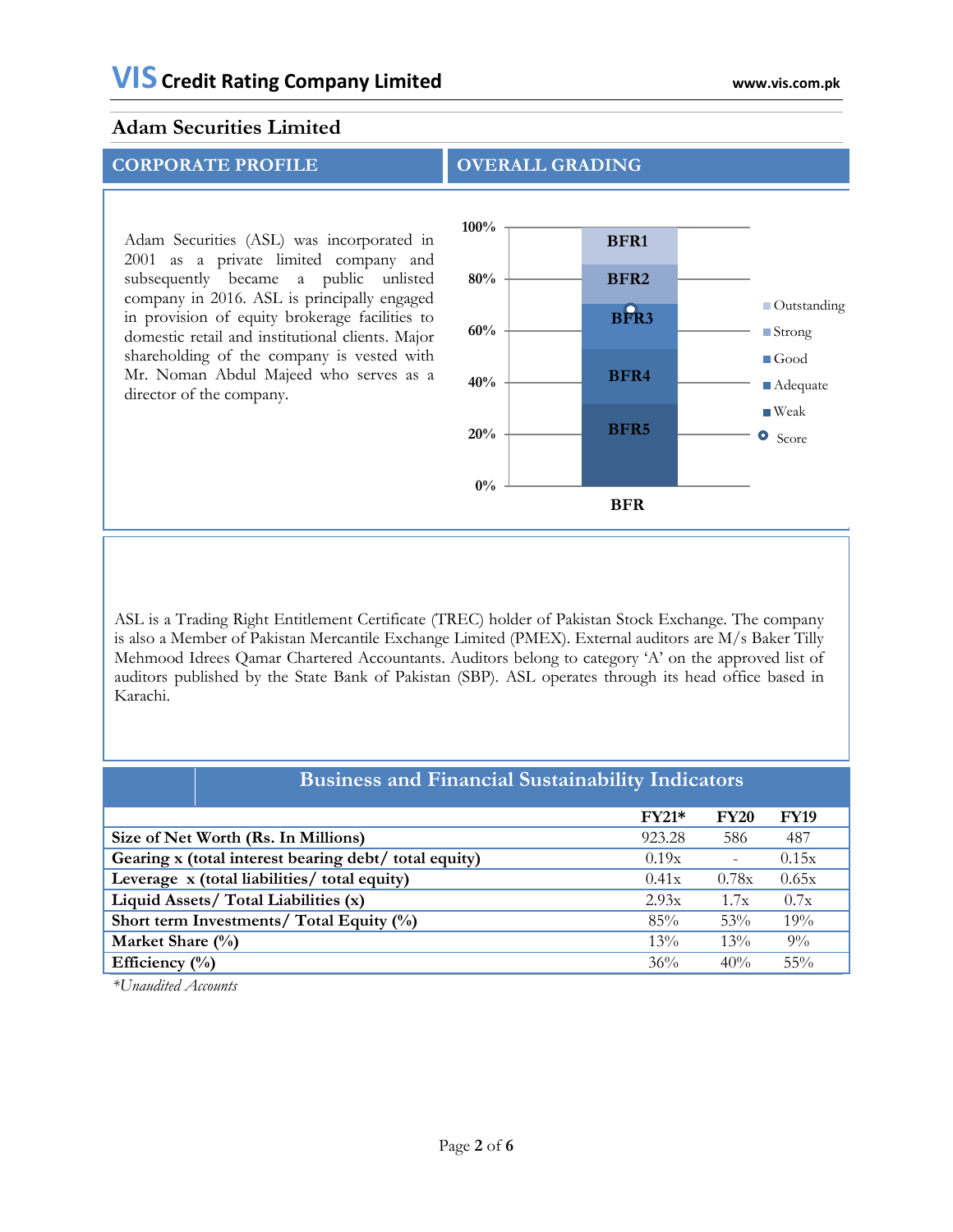Adam Securities (ASL) was incorporated in 2001 as a private limited company and subsequently became a public unlisted company in 2016. ASL is principally engaged in provision of equity brokerage facilities to domestic retail and institutional clients. Major shareholding of the company is vested with Mr. Noman Abdul Majeed who serves as a director of the company.





ASL is a Trading Right Entitlement Certificate (TREC) holder of Pakistan Stock Exchange. The company is also a Member of Pakistan Mercantile Exchange Limited (PMEX). External auditors are M/s Baker Tilly Mehmood Idrees Qamar Chartered Accountants. Auditors belong to category 'A' on the approved list of auditors published by the State Bank of Pakistan (SBP). ASL operates through its head office based in Karachi.

| <b>Business and Financial Sustainability Indicators</b> |         |             |             |  |  |
|---------------------------------------------------------|---------|-------------|-------------|--|--|
|                                                         | $FY21*$ | <b>FY20</b> | <b>FY19</b> |  |  |
| Size of Net Worth (Rs. In Millions)                     | 923.28  | 586         | 487         |  |  |
| Gearing x (total interest bearing debt/ total equity)   | 0.19x   |             | 0.15x       |  |  |
| Leverage x (total liabilities/ total equity)            | 0.41x   | 0.78x       | 0.65x       |  |  |
| Liquid Assets/ Total Liabilities (x)                    | 2.93x   | 1.7x        | 0.7x        |  |  |
| Short term Investments/ Total Equity (%)                | 85%     | 53%         | 19%         |  |  |
| Market Share (%)                                        | 13%     | 13%         | $9\%$       |  |  |
| Efficiency $(\%)$                                       | 36%     | 40%         | $55\%$      |  |  |

*\*Unaudited Accounts*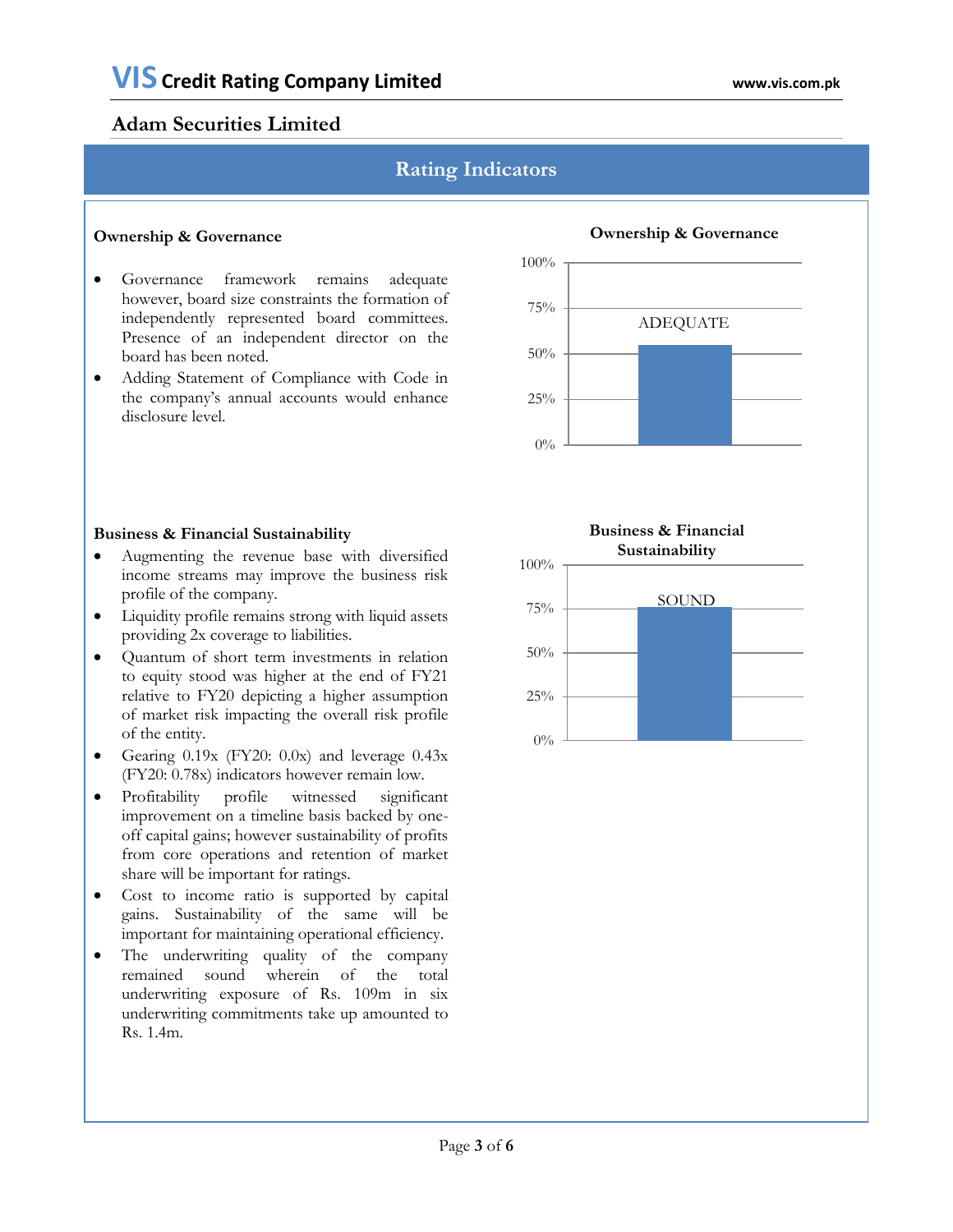# **Rating Indicators**

#### **Ownership & Governance**

- Governance framework remains adequate however, board size constraints the formation of independently represented board committees. Presence of an independent director on the board has been noted.
- Adding Statement of Compliance with Code in the company's annual accounts would enhance disclosure level.



# **Business & Financial Sustainability**

- Augmenting the revenue base with diversified income streams may improve the business risk profile of the company.
- Liquidity profile remains strong with liquid assets providing 2x coverage to liabilities.
- Quantum of short term investments in relation to equity stood was higher at the end of FY21 relative to FY20 depicting a higher assumption of market risk impacting the overall risk profile of the entity.
- Gearing  $0.19x$  (FY20:  $0.0x$ ) and leverage  $0.43x$ (FY20: 0.78x) indicators however remain low.
- Profitability profile witnessed significant improvement on a timeline basis backed by oneoff capital gains; however sustainability of profits from core operations and retention of market share will be important for ratings.
- Cost to income ratio is supported by capital gains. Sustainability of the same will be important for maintaining operational efficiency.
- The underwriting quality of the company remained sound wherein of the total underwriting exposure of Rs. 109m in six underwriting commitments take up amounted to Rs. 1.4m.



#### **Ownership & Governance**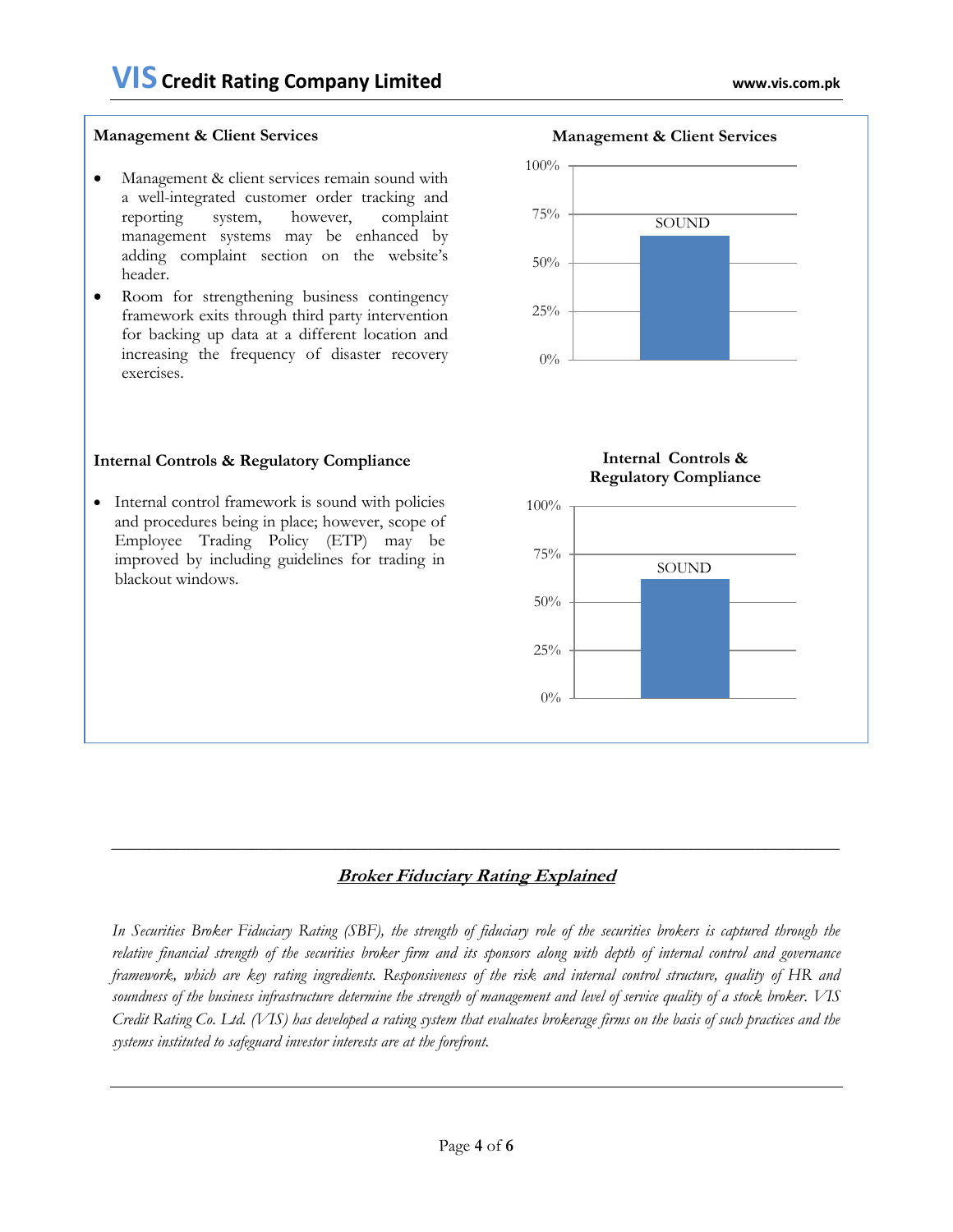#### **Management & Client Services**

- Management & client services remain sound with a well-integrated customer order tracking and reporting system, however, complaint management systems may be enhanced by adding complaint section on the website's header.
- Room for strengthening business contingency framework exits through third party intervention for backing up data at a different location and increasing the frequency of disaster recovery exercises.

#### **Internal Controls & Regulatory Compliance**

• Internal control framework is sound with policies and procedures being in place; however, scope of Employee Trading Policy (ETP) may be improved by including guidelines for trading in blackout windows.



#### **Internal Controls & Regulatory Compliance**



#### **Broker Fiduciary Rating Explained**

*In Securities Broker Fiduciary Rating (SBF), the strength of fiduciary role of the securities brokers is captured through the relative financial strength of the securities broker firm and its sponsors along with depth of internal control and governance framework, which are key rating ingredients. Responsiveness of the risk and internal control structure, quality of HR and soundness of the business infrastructure determine the strength of management and level of service quality of a stock broker. VIS Credit Rating Co. Ltd. (VIS) has developed a rating system that evaluates brokerage firms on the basis of such practices and the systems instituted to safeguard investor interests are at the forefront.*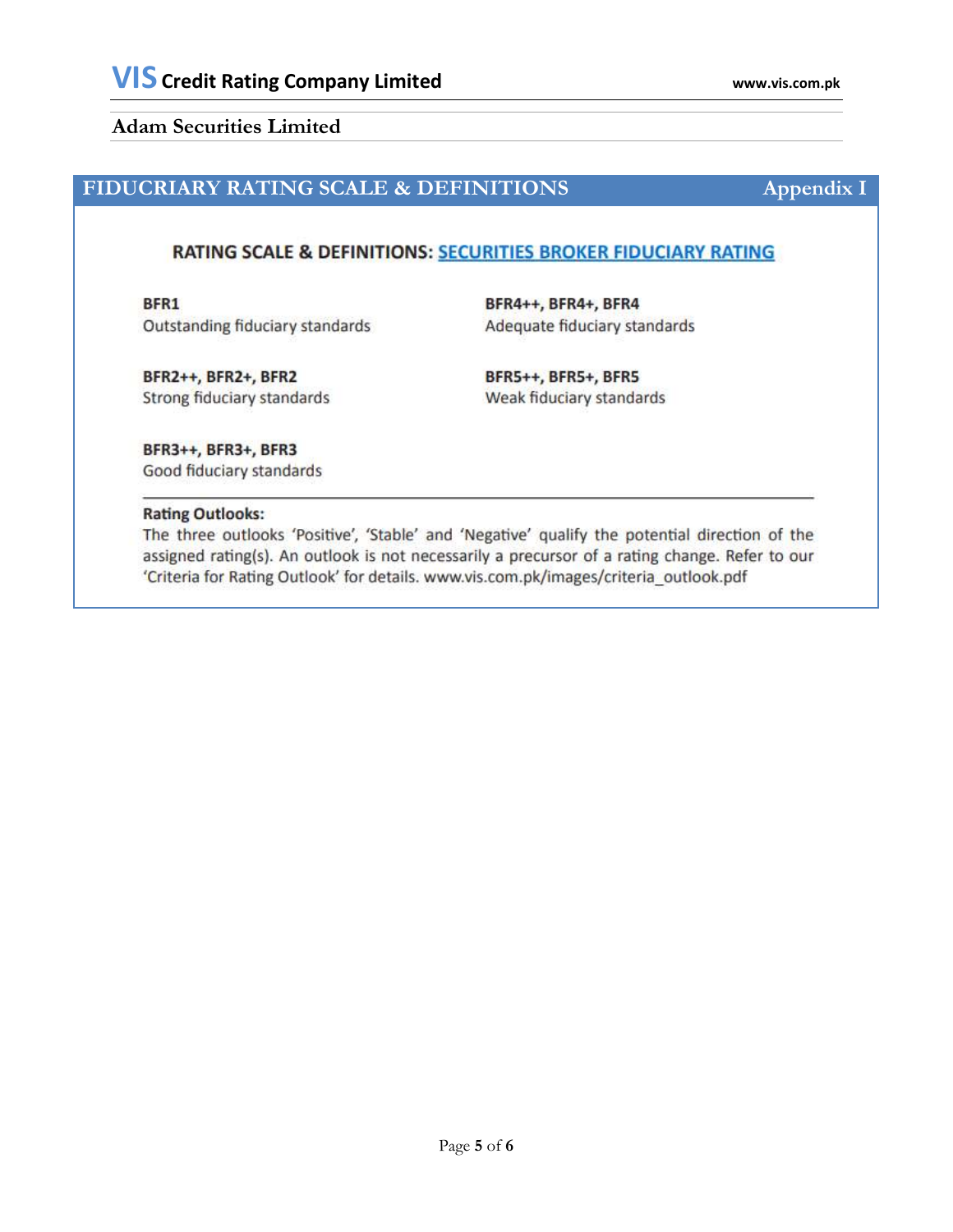# **FIDUCRIARY RATING SCALE & DEFINITIONS Appendix I**

### RATING SCALE & DEFINITIONS: SECURITIES BROKER FIDUCIARY RATING

BFR1 Outstanding fiduciary standards

BFR4++, BFR4+, BFR4 Adequate fiduciary standards

BFR2++, BFR2+, BFR2 Strong fiduciary standards

BFR5++, BFR5+, BFR5 Weak fiduciary standards

BFR3++, BFR3+, BFR3 Good fiduciary standards

#### **Rating Outlooks:**

The three outlooks 'Positive', 'Stable' and 'Negative' qualify the potential direction of the assigned rating(s). An outlook is not necessarily a precursor of a rating change. Refer to our 'Criteria for Rating Outlook' for details. www.vis.com.pk/images/criteria\_outlook.pdf